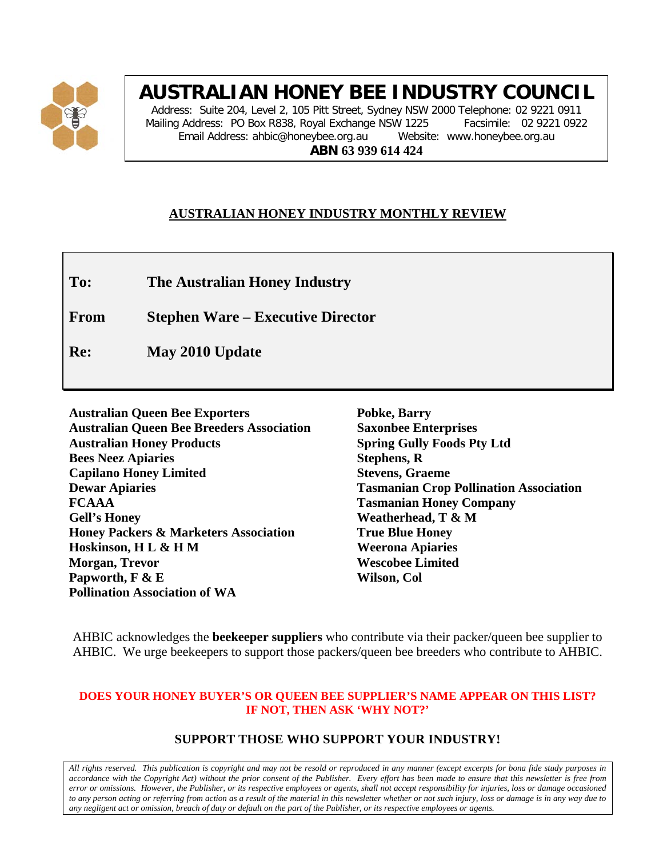

# **AUSTRALIAN HONEY BEE INDUSTRY COUNCIL**

Address: Suite 204, Level 2, 105 Pitt Street, Sydney NSW 2000 Telephone: 02 9221 0911 Mailing Address: PO Box R838, Royal Exchange NSW 1225 Facsimile: 02 9221 0922 Email Address: ahbic@honeybee.org.au Website: www.honeybee.org.au **ABN 63 939 614 424**

### **AUSTRALIAN HONEY INDUSTRY MONTHLY REVIEW**

**To: The Australian Honey Industry**

**From Stephen Ware – Executive Director**

**Re: May 2010 Update**

**Australian Queen Bee Exporters Australian Queen Bee Breeders Association Australian Honey Products Bees Neez Apiaries Capilano Honey Limited Dewar Apiaries FCAAA Gell's Honey Honey Packers & Marketers Association Hoskinson, H L & H M Morgan, Trevor Papworth, F & E Pollination Association of WA**

**Pobke, Barry Saxonbee Enterprises Spring Gully Foods Pty Ltd Stephens, R Stevens, Graeme Tasmanian Crop Pollination Association Tasmanian Honey Company Weatherhead, T & M True Blue Honey Weerona Apiaries Wescobee Limited Wilson, Col**

AHBIC acknowledges the **beekeeper suppliers** who contribute via their packer/queen bee supplier to AHBIC. We urge beekeepers to support those packers/queen bee breeders who contribute to AHBIC.

#### **DOES YOUR HONEY BUYER'S OR QUEEN BEE SUPPLIER'S NAME APPEAR ON THIS LIST? IF NOT, THEN ASK 'WHY NOT?'**

### **SUPPORT THOSE WHO SUPPORT YOUR INDUSTRY!**

*All rights reserved. This publication is copyright and may not be resold or reproduced in any manner (except excerpts for bona fide study purposes in accordance with the Copyright Act) without the prior consent of the Publisher. Every effort has been made to ensure that this newsletter is free from error or omissions. However, the Publisher, or its respective employees or agents, shall not accept responsibility for injuries, loss or damage occasioned to any person acting or referring from action as a result of the material in this newsletter whether or not such injury, loss or damage is in any way due to any negligent act or omission, breach of duty or default on the part of the Publisher, or its respective employees or agents.*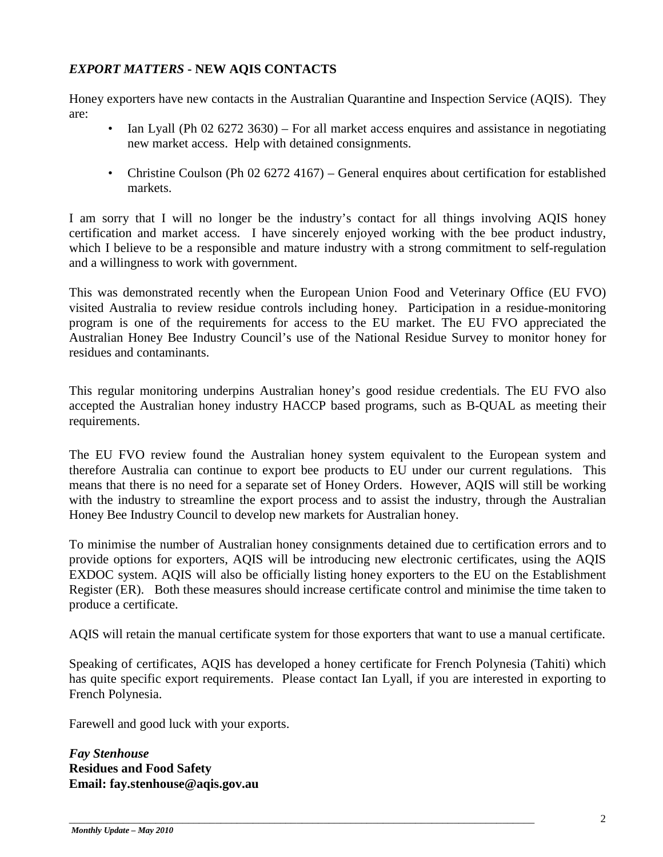### *EXPORT MATTERS* **- NEW AQIS CONTACTS**

Honey exporters have new contacts in the Australian Quarantine and Inspection Service (AQIS). They are:

- Ian Lyall (Ph 02 6272 3630) For all market access enquires and assistance in negotiating new market access. Help with detained consignments.
- Christine Coulson (Ph 02 6272 4167) General enquires about certification for established markets.

I am sorry that I will no longer be the industry's contact for all things involving AQIS honey certification and market access. I have sincerely enjoyed working with the bee product industry, which I believe to be a responsible and mature industry with a strong commitment to self-regulation and a willingness to work with government.

This was demonstrated recently when the European Union Food and Veterinary Office (EU FVO) visited Australia to review residue controls including honey. Participation in a residue-monitoring program is one of the requirements for access to the EU market. The EU FVO appreciated the Australian Honey Bee Industry Council's use of the National Residue Survey to monitor honey for residues and contaminants.

This regular monitoring underpins Australian honey's good residue credentials. The EU FVO also accepted the Australian honey industry HACCP based programs, such as B-QUAL as meeting their requirements.

The EU FVO review found the Australian honey system equivalent to the European system and therefore Australia can continue to export bee products to EU under our current regulations. This means that there is no need for a separate set of Honey Orders. However, AQIS will still be working with the industry to streamline the export process and to assist the industry, through the Australian Honey Bee Industry Council to develop new markets for Australian honey.

To minimise the number of Australian honey consignments detained due to certification errors and to provide options for exporters, AQIS will be introducing new electronic certificates, using the AQIS EXDOC system. AQIS will also be officially listing honey exporters to the EU on the Establishment Register (ER). Both these measures should increase certificate control and minimise the time taken to produce a certificate.

AQIS will retain the manual certificate system for those exporters that want to use a manual certificate.

Speaking of certificates, AQIS has developed a honey certificate for French Polynesia (Tahiti) which has quite specific export requirements. Please contact Ian Lyall, if you are interested in exporting to French Polynesia.

\_\_\_\_\_\_\_\_\_\_\_\_\_\_\_\_\_\_\_\_\_\_\_\_\_\_\_\_\_\_\_\_\_\_\_\_\_\_\_\_\_\_\_\_\_\_\_\_\_\_\_\_\_\_\_\_\_\_\_\_\_\_\_\_\_\_\_\_\_\_\_\_\_\_\_\_\_\_\_\_\_\_\_\_\_\_

Farewell and good luck with your exports.

*Fay Stenhouse* **Residues and Food Safety Email: fay.stenhouse@aqis.gov.au**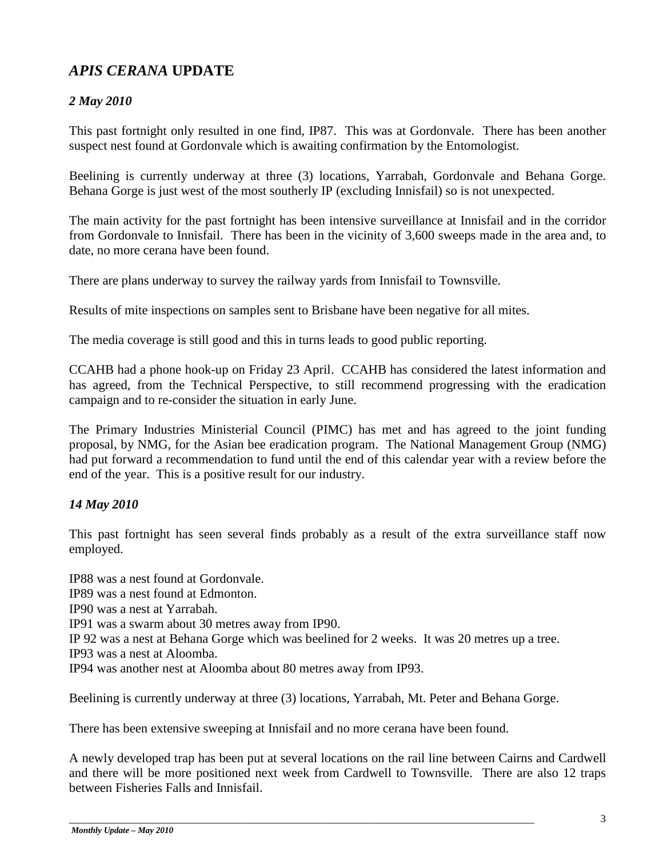# *APIS CERANA* **UPDATE**

## *2 May 2010*

This past fortnight only resulted in one find, IP87. This was at Gordonvale. There has been another suspect nest found at Gordonvale which is awaiting confirmation by the Entomologist.

Beelining is currently underway at three (3) locations, Yarrabah, Gordonvale and Behana Gorge. Behana Gorge is just west of the most southerly IP (excluding Innisfail) so is not unexpected.

The main activity for the past fortnight has been intensive surveillance at Innisfail and in the corridor from Gordonvale to Innisfail. There has been in the vicinity of 3,600 sweeps made in the area and, to date, no more cerana have been found.

There are plans underway to survey the railway yards from Innisfail to Townsville.

Results of mite inspections on samples sent to Brisbane have been negative for all mites.

The media coverage is still good and this in turns leads to good public reporting.

CCAHB had a phone hook-up on Friday 23 April. CCAHB has considered the latest information and has agreed, from the Technical Perspective, to still recommend progressing with the eradication campaign and to re-consider the situation in early June.

The Primary Industries Ministerial Council (PIMC) has met and has agreed to the joint funding proposal, by NMG, for the Asian bee eradication program. The National Management Group (NMG) had put forward a recommendation to fund until the end of this calendar year with a review before the end of the year. This is a positive result for our industry.

### *14 May 2010*

This past fortnight has seen several finds probably as a result of the extra surveillance staff now employed.

IP88 was a nest found at Gordonvale. IP89 was a nest found at Edmonton. IP90 was a nest at Yarrabah. IP91 was a swarm about 30 metres away from IP90. IP 92 was a nest at Behana Gorge which was beelined for 2 weeks. It was 20 metres up a tree. IP93 was a nest at Aloomba. IP94 was another nest at Aloomba about 80 metres away from IP93.

Beelining is currently underway at three (3) locations, Yarrabah, Mt. Peter and Behana Gorge.

There has been extensive sweeping at Innisfail and no more cerana have been found.

A newly developed trap has been put at several locations on the rail line between Cairns and Cardwell and there will be more positioned next week from Cardwell to Townsville. There are also 12 traps between Fisheries Falls and Innisfail.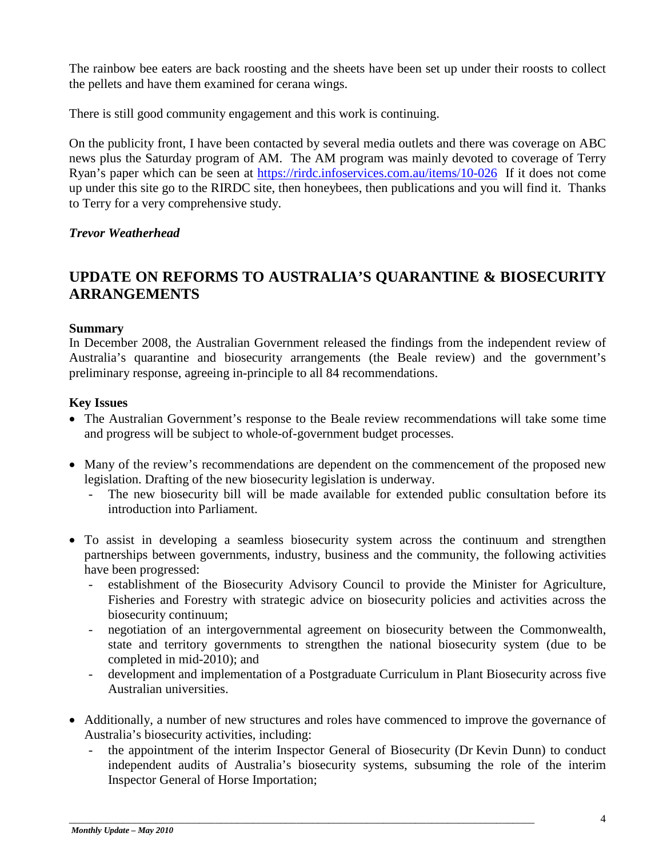The rainbow bee eaters are back roosting and the sheets have been set up under their roosts to collect the pellets and have them examined for cerana wings.

There is still good community engagement and this work is continuing.

On the publicity front, I have been contacted by several media outlets and there was coverage on ABC news plus the Saturday program of AM. The AM program was mainly devoted to coverage of Terry Ryan's paper which can be seen at<https://rirdc.infoservices.com.au/items/10-026>If it does not come up under this site go to the RIRDC site, then honeybees, then publications and you will find it. Thanks to Terry for a very comprehensive study.

#### *Trevor Weatherhead*

# **UPDATE ON REFORMS TO AUSTRALIA'S QUARANTINE & BIOSECURITY ARRANGEMENTS**

#### **Summary**

In December 2008, the Australian Government released the findings from the independent review of Australia's quarantine and biosecurity arrangements (the Beale review) and the government's preliminary response, agreeing in-principle to all 84 recommendations.

#### **Key Issues**

- The Australian Government's response to the Beale review recommendations will take some time and progress will be subject to whole-of-government budget processes.
- Many of the review's recommendations are dependent on the commencement of the proposed new legislation. Drafting of the new biosecurity legislation is underway.
	- The new biosecurity bill will be made available for extended public consultation before its introduction into Parliament.
- To assist in developing a seamless biosecurity system across the continuum and strengthen partnerships between governments, industry, business and the community, the following activities have been progressed:
	- establishment of the Biosecurity Advisory Council to provide the Minister for Agriculture, Fisheries and Forestry with strategic advice on biosecurity policies and activities across the biosecurity continuum;
	- negotiation of an intergovernmental agreement on biosecurity between the Commonwealth, state and territory governments to strengthen the national biosecurity system (due to be completed in mid-2010); and
	- development and implementation of a Postgraduate Curriculum in Plant Biosecurity across five Australian universities.
- Additionally, a number of new structures and roles have commenced to improve the governance of Australia's biosecurity activities, including:
	- the appointment of the interim Inspector General of Biosecurity (Dr Kevin Dunn) to conduct independent audits of Australia's biosecurity systems, subsuming the role of the interim Inspector General of Horse Importation;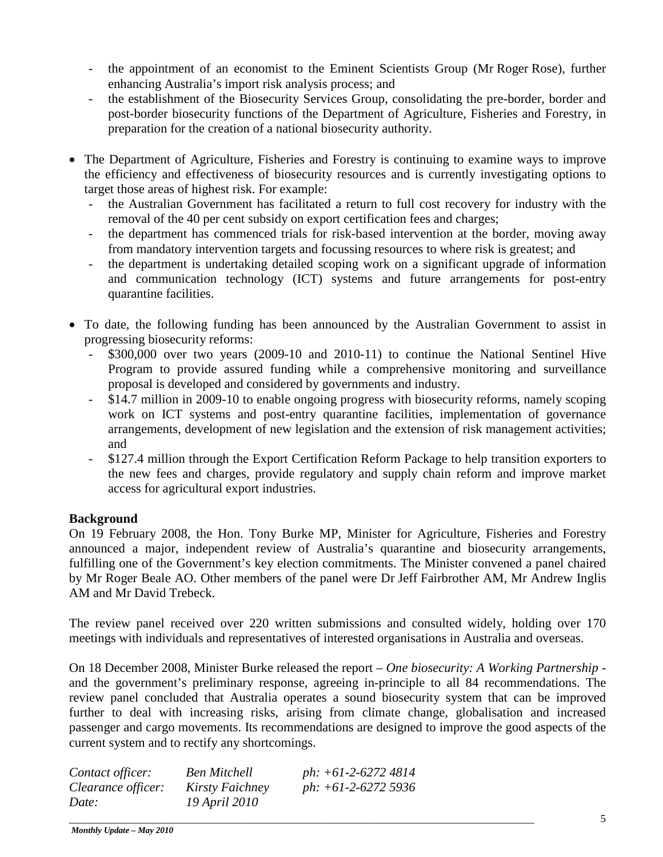- the appointment of an economist to the Eminent Scientists Group (Mr Roger Rose), further enhancing Australia's import risk analysis process; and
- the establishment of the Biosecurity Services Group, consolidating the pre-border, border and post-border biosecurity functions of the Department of Agriculture, Fisheries and Forestry, in preparation for the creation of a national biosecurity authority.
- The Department of Agriculture, Fisheries and Forestry is continuing to examine ways to improve the efficiency and effectiveness of biosecurity resources and is currently investigating options to target those areas of highest risk. For example:
	- the Australian Government has facilitated a return to full cost recovery for industry with the removal of the 40 per cent subsidy on export certification fees and charges;
	- the department has commenced trials for risk-based intervention at the border, moving away from mandatory intervention targets and focussing resources to where risk is greatest; and
	- the department is undertaking detailed scoping work on a significant upgrade of information and communication technology (ICT) systems and future arrangements for post-entry quarantine facilities.
- To date, the following funding has been announced by the Australian Government to assist in progressing biosecurity reforms:
	- \$300,000 over two years (2009-10 and 2010-11) to continue the National Sentinel Hive Program to provide assured funding while a comprehensive monitoring and surveillance proposal is developed and considered by governments and industry.
	- \$14.7 million in 2009-10 to enable ongoing progress with biosecurity reforms, namely scoping work on ICT systems and post-entry quarantine facilities, implementation of governance arrangements, development of new legislation and the extension of risk management activities; and
	- \$127.4 million through the Export Certification Reform Package to help transition exporters to the new fees and charges, provide regulatory and supply chain reform and improve market access for agricultural export industries.

#### **Background**

On 19 February 2008, the Hon. Tony Burke MP, Minister for Agriculture, Fisheries and Forestry announced a major, independent review of Australia's quarantine and biosecurity arrangements, fulfilling one of the Government's key election commitments. The Minister convened a panel chaired by Mr Roger Beale AO. Other members of the panel were Dr Jeff Fairbrother AM, Mr Andrew Inglis AM and Mr David Trebeck.

The review panel received over 220 written submissions and consulted widely, holding over 170 meetings with individuals and representatives of interested organisations in Australia and overseas.

On 18 December 2008, Minister Burke released the report – *One biosecurity: A Working Partnership* and the government's preliminary response, agreeing in-principle to all 84 recommendations. The review panel concluded that Australia operates a sound biosecurity system that can be improved further to deal with increasing risks, arising from climate change, globalisation and increased passenger and cargo movements. Its recommendations are designed to improve the good aspects of the current system and to rectify any shortcomings.

| Contact officer:   | <b>Ben Mitchell</b> | ph: $+61-2-6272$ 4814 |
|--------------------|---------------------|-----------------------|
| Clearance officer: | Kirsty Faichney     | ph: $+61-2-62725936$  |
| Date:              | 19 April 2010       |                       |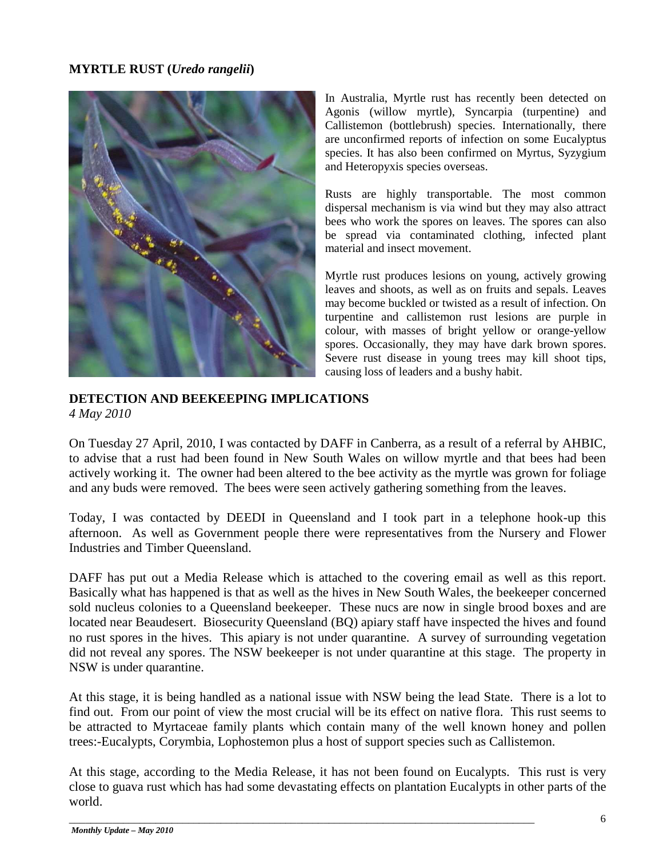#### **MYRTLE RUST (***Uredo rangelii***)**



In Australia, Myrtle rust has recently been detected on Agonis (willow myrtle), Syncarpia (turpentine) and Callistemon (bottlebrush) species. Internationally, there are unconfirmed reports of infection on some Eucalyptus species. It has also been confirmed on Myrtus, Syzygium and Heteropyxis species overseas.

Rusts are highly transportable. The most common dispersal mechanism is via wind but they may also attract bees who work the spores on leaves. The spores can also be spread via contaminated clothing, infected plant material and insect movement.

Myrtle rust produces lesions on young, actively growing leaves and shoots, as well as on fruits and sepals. Leaves may become buckled or twisted as a result of infection. On turpentine and callistemon rust lesions are purple in colour, with masses of bright yellow or orange-yellow spores. Occasionally, they may have dark brown spores. Severe rust disease in young trees may kill shoot tips, causing loss of leaders and a bushy habit.

**DETECTION AND BEEKEEPING IMPLICATIONS** *4 May 2010*

On Tuesday 27 April, 2010, I was contacted by DAFF in Canberra, as a result of a referral by AHBIC, to advise that a rust had been found in New South Wales on willow myrtle and that bees had been actively working it. The owner had been altered to the bee activity as the myrtle was grown for foliage and any buds were removed. The bees were seen actively gathering something from the leaves.

Today, I was contacted by DEEDI in Queensland and I took part in a telephone hook-up this afternoon. As well as Government people there were representatives from the Nursery and Flower Industries and Timber Queensland.

DAFF has put out a Media Release which is attached to the covering email as well as this report. Basically what has happened is that as well as the hives in New South Wales, the beekeeper concerned sold nucleus colonies to a Queensland beekeeper. These nucs are now in single brood boxes and are located near Beaudesert. Biosecurity Queensland (BQ) apiary staff have inspected the hives and found no rust spores in the hives. This apiary is not under quarantine. A survey of surrounding vegetation did not reveal any spores. The NSW beekeeper is not under quarantine at this stage. The property in NSW is under quarantine.

At this stage, it is being handled as a national issue with NSW being the lead State. There is a lot to find out. From our point of view the most crucial will be its effect on native flora. This rust seems to be attracted to Myrtaceae family plants which contain many of the well known honey and pollen trees:-Eucalypts, Corymbia, Lophostemon plus a host of support species such as Callistemon.

At this stage, according to the Media Release, it has not been found on Eucalypts. This rust is very close to guava rust which has had some devastating effects on plantation Eucalypts in other parts of the world.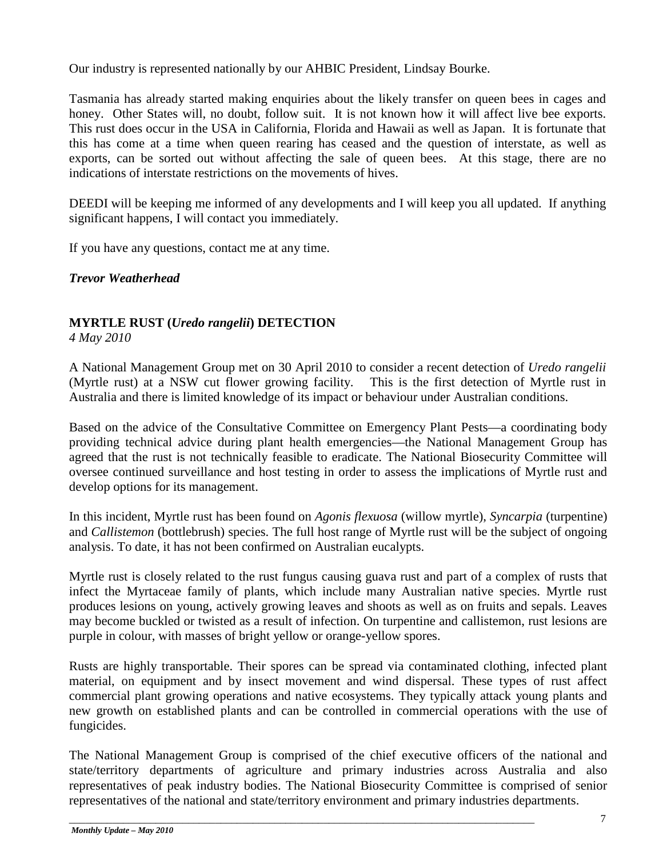Our industry is represented nationally by our AHBIC President, Lindsay Bourke.

Tasmania has already started making enquiries about the likely transfer on queen bees in cages and honey. Other States will, no doubt, follow suit. It is not known how it will affect live bee exports. This rust does occur in the USA in California, Florida and Hawaii as well as Japan. It is fortunate that this has come at a time when queen rearing has ceased and the question of interstate, as well as exports, can be sorted out without affecting the sale of queen bees. At this stage, there are no indications of interstate restrictions on the movements of hives.

DEEDI will be keeping me informed of any developments and I will keep you all updated. If anything significant happens, I will contact you immediately.

If you have any questions, contact me at any time.

*Trevor Weatherhead*

# **MYRTLE RUST (***Uredo rangelii***) DETECTION**

*4 May 2010*

A National Management Group met on 30 April 2010 to consider a recent detection of *Uredo rangelii*  (Myrtle rust) at a NSW cut flower growing facility. This is the first detection of Myrtle rust in Australia and there is limited knowledge of its impact or behaviour under Australian conditions.

Based on the advice of the Consultative Committee on Emergency Plant Pests—a coordinating body providing technical advice during plant health emergencies—the National Management Group has agreed that the rust is not technically feasible to eradicate. The National Biosecurity Committee will oversee continued surveillance and host testing in order to assess the implications of Myrtle rust and develop options for its management.

In this incident, Myrtle rust has been found on *Agonis flexuosa* (willow myrtle), *Syncarpia* (turpentine) and *Callistemon* (bottlebrush) species. The full host range of Myrtle rust will be the subject of ongoing analysis. To date, it has not been confirmed on Australian eucalypts.

Myrtle rust is closely related to the rust fungus causing guava rust and part of a complex of rusts that infect the Myrtaceae family of plants, which include many Australian native species. Myrtle rust produces lesions on young, actively growing leaves and shoots as well as on fruits and sepals. Leaves may become buckled or twisted as a result of infection. On turpentine and callistemon, rust lesions are purple in colour, with masses of bright yellow or orange-yellow spores.

Rusts are highly transportable. Their spores can be spread via contaminated clothing, infected plant material, on equipment and by insect movement and wind dispersal. These types of rust affect commercial plant growing operations and native ecosystems. They typically attack young plants and new growth on established plants and can be controlled in commercial operations with the use of fungicides.

The National Management Group is comprised of the chief executive officers of the national and state/territory departments of agriculture and primary industries across Australia and also representatives of peak industry bodies. The National Biosecurity Committee is comprised of senior representatives of the national and state/territory environment and primary industries departments.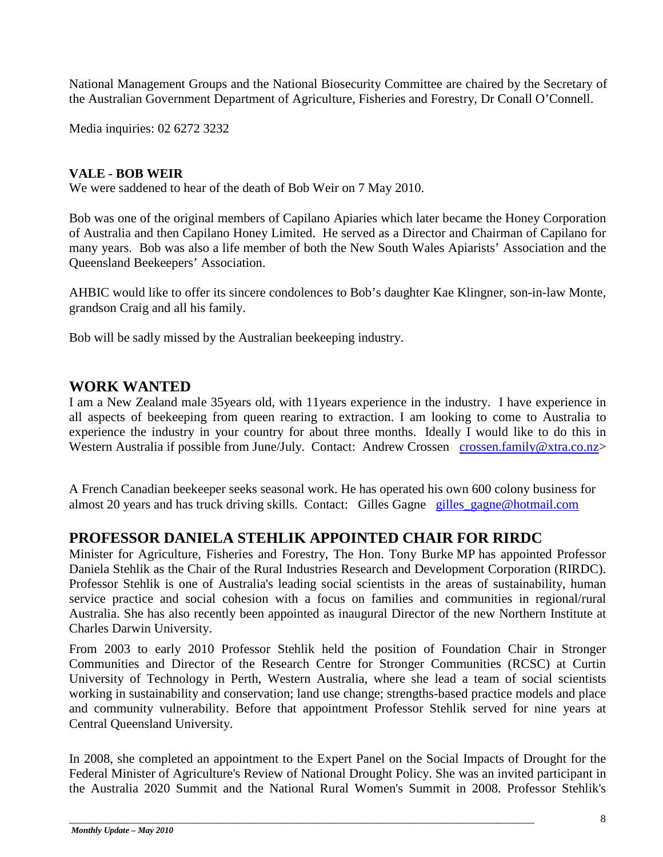National Management Groups and the National Biosecurity Committee are chaired by the Secretary of the Australian Government Department of Agriculture, Fisheries and Forestry, Dr Conall O'Connell.

Media inquiries: 02 6272 3232

#### **VALE - BOB WEIR**

We were saddened to hear of the death of Bob Weir on 7 May 2010.

Bob was one of the original members of Capilano Apiaries which later became the Honey Corporation of Australia and then Capilano Honey Limited. He served as a Director and Chairman of Capilano for many years. Bob was also a life member of both the New South Wales Apiarists' Association and the Queensland Beekeepers' Association.

AHBIC would like to offer its sincere condolences to Bob's daughter Kae Klingner, son-in-law Monte, grandson Craig and all his family.

Bob will be sadly missed by the Australian beekeeping industry.

## **WORK WANTED**

I am a New Zealand male 35years old, with 11years experience in the industry. I have experience in all aspects of beekeeping from queen rearing to extraction. I am looking to come to Australia to experience the industry in your country for about three months. Ideally I would like to do this in Western Australia if possible from June/July. Contact: Andrew Crossen [crossen.family@xtra.co.nz>](mailto:crossen.family@xtra.co.nz)

A French Canadian beekeeper seeks seasonal work. He has operated his own 600 colony business for almost 20 years and has truck driving skills. Contact: Gilles Gagne [gilles\\_gagne@hotmail.com](mailto:gilles_gagne@hotmail.com)

## **PROFESSOR DANIELA STEHLIK APPOINTED CHAIR FOR RIRDC**

Minister for Agriculture, Fisheries and Forestry, The Hon. Tony Burke MP has appointed Professor Daniela Stehlik as the Chair of the Rural Industries Research and Development Corporation (RIRDC). Professor Stehlik is one of Australia's leading social scientists in the areas of sustainability, human service practice and social cohesion with a focus on families and communities in regional/rural Australia. She has also recently been appointed as inaugural Director of the new Northern Institute at Charles Darwin University.

From 2003 to early 2010 Professor Stehlik held the position of Foundation Chair in Stronger Communities and Director of the Research Centre for Stronger Communities (RCSC) at Curtin University of Technology in Perth, Western Australia, where she lead a team of social scientists working in sustainability and conservation; land use change; strengths-based practice models and place and community vulnerability. Before that appointment Professor Stehlik served for nine years at Central Queensland University.

In 2008, she completed an appointment to the Expert Panel on the Social Impacts of Drought for the Federal Minister of Agriculture's Review of National Drought Policy. She was an invited participant in the Australia 2020 Summit and the National Rural Women's Summit in 2008. Professor Stehlik's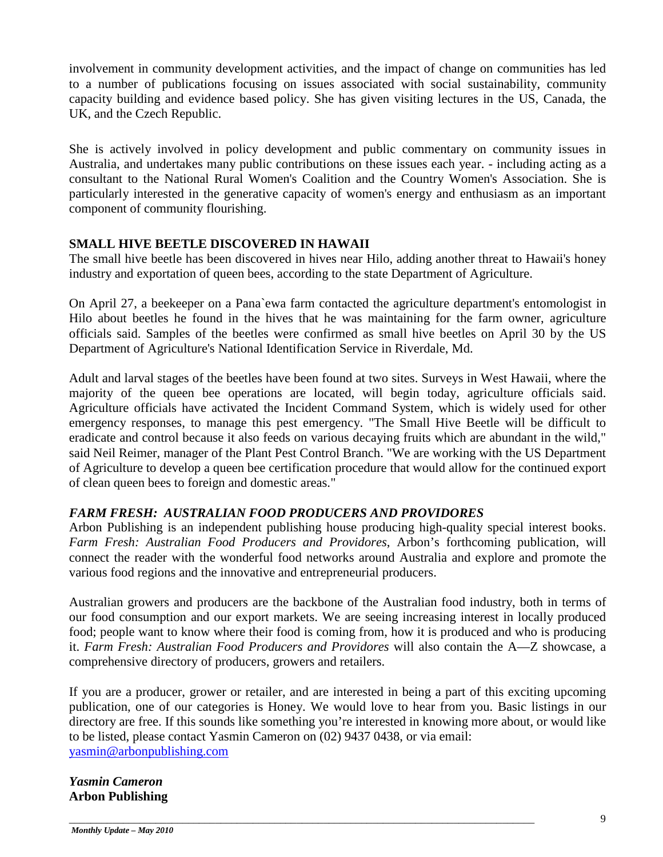involvement in community development activities, and the impact of change on communities has led to a number of publications focusing on issues associated with social sustainability, community capacity building and evidence based policy. She has given visiting lectures in the US, Canada, the UK, and the Czech Republic.

She is actively involved in policy development and public commentary on community issues in Australia, and undertakes many public contributions on these issues each year. - including acting as a consultant to the National Rural Women's Coalition and the Country Women's Association. She is particularly interested in the generative capacity of women's energy and enthusiasm as an important component of community flourishing.

#### **SMALL HIVE BEETLE DISCOVERED IN HAWAII**

The small hive beetle has been discovered in hives near Hilo, adding another threat to Hawaii's honey industry and exportation of queen bees, according to the state Department of Agriculture.

On April 27, a beekeeper on a Pana`ewa farm contacted the agriculture department's entomologist in Hilo about beetles he found in the hives that he was maintaining for the farm owner, agriculture officials said. Samples of the beetles were confirmed as small hive beetles on April 30 by the US Department of Agriculture's National Identification Service in Riverdale, Md.

Adult and larval stages of the beetles have been found at two sites. Surveys in West Hawaii, where the majority of the queen bee operations are located, will begin today, agriculture officials said. Agriculture officials have activated the Incident Command System, which is widely used for other emergency responses, to manage this pest emergency. "The Small Hive Beetle will be difficult to eradicate and control because it also feeds on various decaying fruits which are abundant in the wild," said Neil Reimer, manager of the Plant Pest Control Branch. "We are working with the US Department of Agriculture to develop a queen bee certification procedure that would allow for the continued export of clean queen bees to foreign and domestic areas."

#### *FARM FRESH: AUSTRALIAN FOOD PRODUCERS AND PROVIDORES*

Arbon Publishing is an independent publishing house producing high-quality special interest books. *Farm Fresh: Australian Food Producers and Providores*, Arbon's forthcoming publication, will connect the reader with the wonderful food networks around Australia and explore and promote the various food regions and the innovative and entrepreneurial producers.

Australian growers and producers are the backbone of the Australian food industry, both in terms of our food consumption and our export markets. We are seeing increasing interest in locally produced food; people want to know where their food is coming from, how it is produced and who is producing it. *Farm Fresh: Australian Food Producers and Providores* will also contain the A—Z showcase, a comprehensive directory of producers, growers and retailers.

If you are a producer, grower or retailer, and are interested in being a part of this exciting upcoming publication, one of our categories is Honey. We would love to hear from you. Basic listings in our directory are free. If this sounds like something you're interested in knowing more about, or would like to be listed, please contact Yasmin Cameron on (02) 9437 0438, or via email: [yasmin@arbonpublishing.com](mailto:yasmin@arbonpublishing.com)

\_\_\_\_\_\_\_\_\_\_\_\_\_\_\_\_\_\_\_\_\_\_\_\_\_\_\_\_\_\_\_\_\_\_\_\_\_\_\_\_\_\_\_\_\_\_\_\_\_\_\_\_\_\_\_\_\_\_\_\_\_\_\_\_\_\_\_\_\_\_\_\_\_\_\_\_\_\_\_\_\_\_\_\_\_\_

#### *Yasmin Cameron* **Arbon Publishing**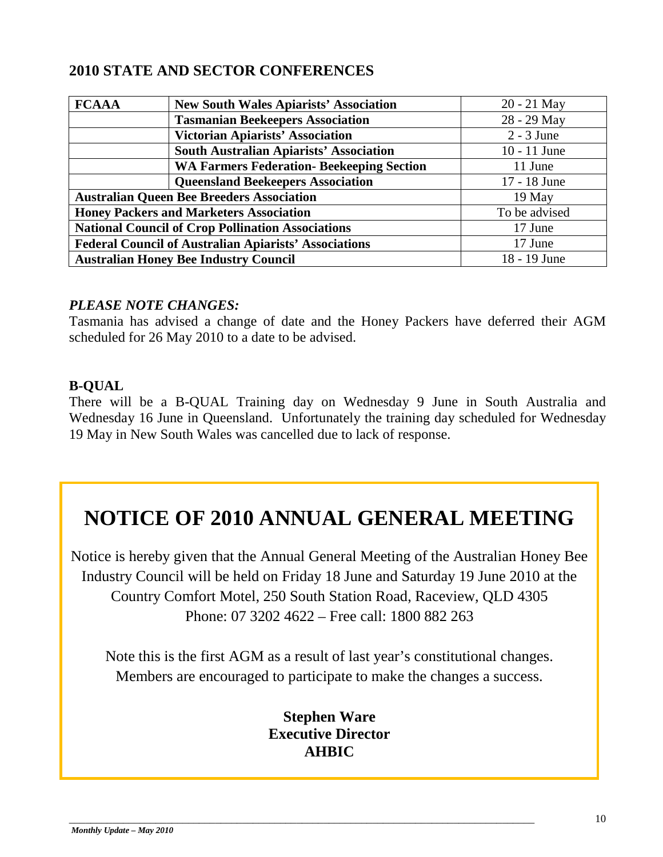# **2010 STATE AND SECTOR CONFERENCES**

| <b>FCAAA</b>                                                 | <b>New South Wales Apiarists' Association</b>    | $20 - 21$ May  |
|--------------------------------------------------------------|--------------------------------------------------|----------------|
|                                                              | <b>Tasmanian Beekeepers Association</b>          | 28 - 29 May    |
|                                                              | <b>Victorian Apiarists' Association</b>          | $2 - 3$ June   |
|                                                              | <b>South Australian Apiarists' Association</b>   | $10 - 11$ June |
|                                                              | <b>WA Farmers Federation- Beekeeping Section</b> | 11 June        |
|                                                              | <b>Queensland Beekeepers Association</b>         | 17 - 18 June   |
| <b>Australian Queen Bee Breeders Association</b>             |                                                  | 19 May         |
| <b>Honey Packers and Marketers Association</b>               |                                                  | To be advised  |
| <b>National Council of Crop Pollination Associations</b>     |                                                  | 17 June        |
| <b>Federal Council of Australian Apiarists' Associations</b> |                                                  | 17 June        |
| <b>Australian Honey Bee Industry Council</b>                 |                                                  | 18 - 19 June   |

#### *PLEASE NOTE CHANGES:*

Tasmania has advised a change of date and the Honey Packers have deferred their AGM scheduled for 26 May 2010 to a date to be advised.

### **B-QUAL**

There will be a B-QUAL Training day on Wednesday 9 June in South Australia and Wednesday 16 June in Queensland. Unfortunately the training day scheduled for Wednesday 19 May in New South Wales was cancelled due to lack of response.

# **NOTICE OF 2010 ANNUAL GENERAL MEETING**

Notice is hereby given that the Annual General Meeting of the Australian Honey Bee Industry Council will be held on Friday 18 June and Saturday 19 June 2010 at the Country Comfort Motel, 250 South Station Road, Raceview, QLD 4305 Phone: 07 3202 4622 – Free call: 1800 882 263

Note this is the first AGM as a result of last year's constitutional changes. Members are encouraged to participate to make the changes a success.

# **Stephen Ware Executive Director AHBIC**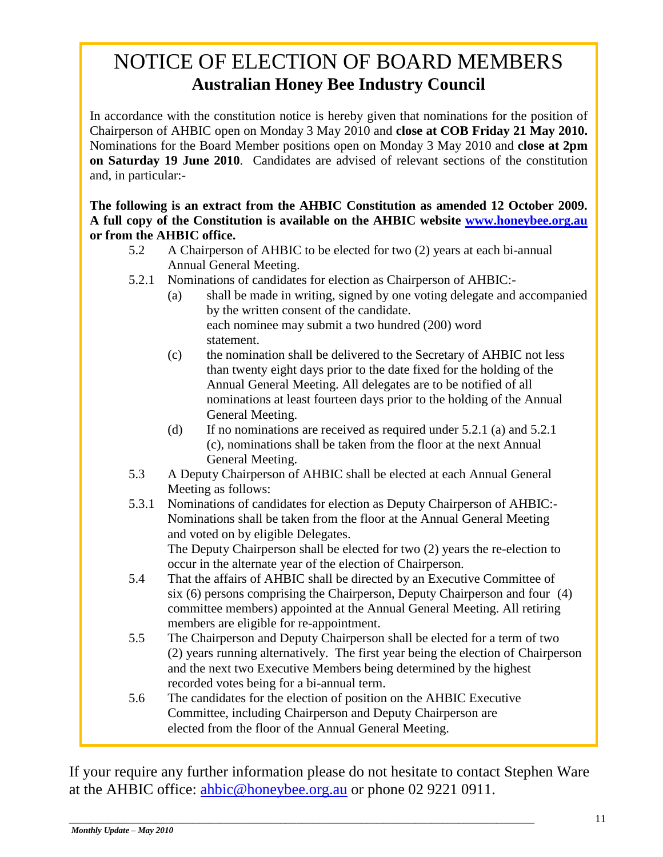# NOTICE OF ELECTION OF BOARD MEMBERS **Australian Honey Bee Industry Council**

In accordance with the constitution notice is hereby given that nominations for the position of Chairperson of AHBIC open on Monday 3 May 2010 and **close at COB Friday 21 May 2010.** Nominations for the Board Member positions open on Monday 3 May 2010 and **close at 2pm on Saturday 19 June 2010**. Candidates are advised of relevant sections of the constitution and, in particular:-

**The following is an extract from the AHBIC Constitution as amended 12 October 2009. A full copy of the Constitution is available on the AHBIC website [www.honeybee.org.au](http://www.honeybee.org.au/) or from the AHBIC office.**

- 5.2 A Chairperson of AHBIC to be elected for two (2) years at each bi-annual Annual General Meeting.
- 5.2.1 Nominations of candidates for election as Chairperson of AHBIC:-
	- (a) shall be made in writing, signed by one voting delegate and accompanied by the written consent of the candidate. each nominee may submit a two hundred (200) word statement.
	- (c) the nomination shall be delivered to the Secretary of AHBIC not less than twenty eight days prior to the date fixed for the holding of the Annual General Meeting. All delegates are to be notified of all nominations at least fourteen days prior to the holding of the Annual General Meeting.
	- (d) If no nominations are received as required under 5.2.1 (a) and 5.2.1 (c), nominations shall be taken from the floor at the next Annual General Meeting.
- 5.3 A Deputy Chairperson of AHBIC shall be elected at each Annual General Meeting as follows:
- 5.3.1 Nominations of candidates for election as Deputy Chairperson of AHBIC:- Nominations shall be taken from the floor at the Annual General Meeting and voted on by eligible Delegates.

The Deputy Chairperson shall be elected for two (2) years the re-election to occur in the alternate year of the election of Chairperson.

- 5.4 That the affairs of AHBIC shall be directed by an Executive Committee of six (6) persons comprising the Chairperson, Deputy Chairperson and four (4) committee members) appointed at the Annual General Meeting. All retiring members are eligible for re-appointment.
- 5.5 The Chairperson and Deputy Chairperson shall be elected for a term of two (2) years running alternatively. The first year being the election of Chairperson and the next two Executive Members being determined by the highest recorded votes being for a bi-annual term.
- 5.6 The candidates for the election of position on the AHBIC Executive Committee, including Chairperson and Deputy Chairperson are elected from the floor of the Annual General Meeting.

If your require any further information please do not hesitate to contact Stephen Ware at the AHBIC office: [ahbic@honeybee.org.au](mailto:ahbic@honeybee.org.au) or phone 02 9221 0911.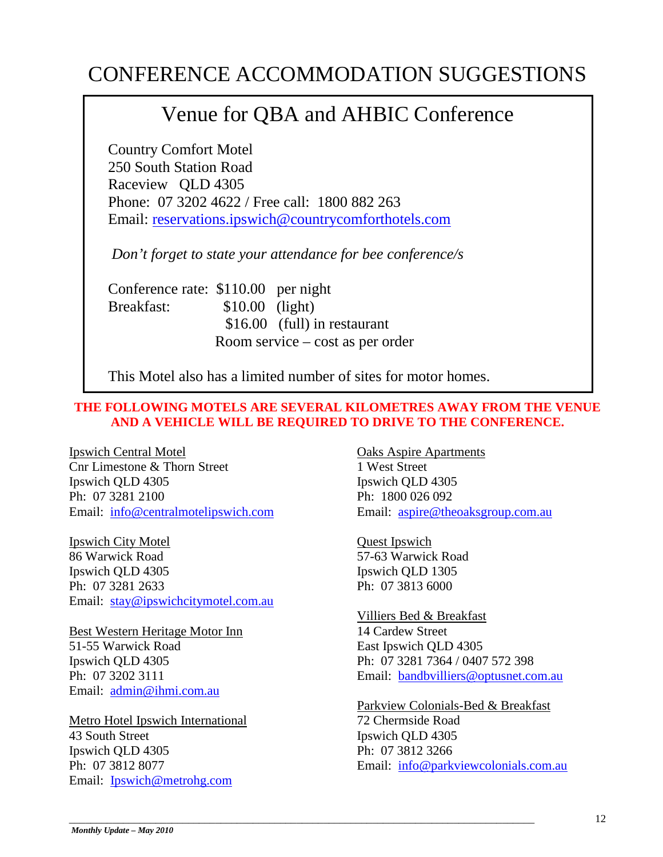# CONFERENCE ACCOMMODATION SUGGESTIONS

# Venue for QBA and AHBIC Conference

Country Comfort Motel 250 South Station Road Raceview QLD 4305 Phone: 07 3202 4622 / Free call: 1800 882 263 Email: [reservations.ipswich@countrycomforthotels.com](mailto:reservations.ipswich@countrycomforthotels.com)

*Don't forget to state your attendance for bee conference/s*

Conference rate: \$110.00 per night Breakfast:  $$10.00$  (light) \$16.00 (full) in restaurant Room service – cost as per order

This Motel also has a limited number of sites for motor homes.

#### **THE FOLLOWING MOTELS ARE SEVERAL KILOMETRES AWAY FROM THE VENUE AND A VEHICLE WILL BE REQUIRED TO DRIVE TO THE CONFERENCE.**

Ipswich Central Motel Cnr Limestone & Thorn Street Ipswich QLD 4305 Ph: 07 3281 2100 Email: [info@centralmotelipswich.com](mailto:info@centralmotelipswich.com)

Ipswich City Motel 86 Warwick Road Ipswich QLD 4305 Ph: 07 3281 2633 Email: [stay@ipswichcitymotel.com.au](mailto:stay@ipswichcitymotel.com.au)

Best Western Heritage Motor Inn 51-55 Warwick Road Ipswich QLD 4305 Ph: 07 3202 3111 Email: [admin@ihmi.com.au](mailto:admin@ihmi.com.au)

Metro Hotel Ipswich International 43 South Street Ipswich QLD 4305 Ph: 07 3812 8077 Email: [Ipswich@metrohg.com](mailto:Ipswich@metrohg.com)

Oaks Aspire Apartments 1 West Street Ipswich QLD 4305 Ph: 1800 026 092 Email: [aspire@theoaksgroup.com.au](mailto:aspire@theoaksgroup.com.au)

Quest Ipswich 57-63 Warwick Road Ipswich QLD 1305 Ph: 07 3813 6000

#### Villiers Bed & Breakfast 14 Cardew Street

East Ipswich QLD 4305 Ph: 07 3281 7364 / 0407 572 398 Email: [bandbvilliers@optusnet.com.au](mailto:bandbvilliers@optusnet.com.au)

## Parkview Colonials-Bed & Breakfast

72 Chermside Road Ipswich QLD 4305 Ph: 07 3812 3266 Email: [info@parkviewcolonials.com.au](mailto:info@parkviewcolonials.com.au)